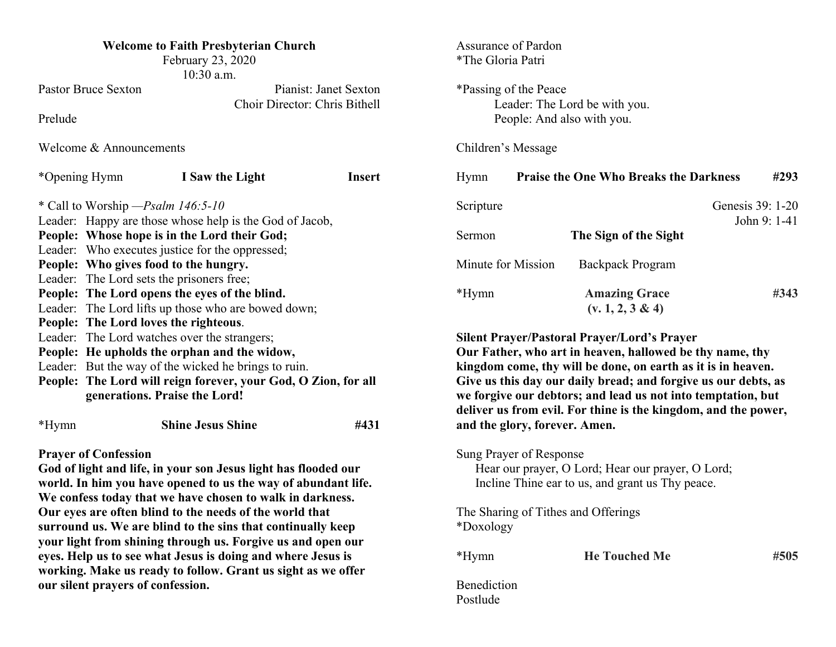| <b>Welcome to Faith Presbyterian Church</b><br>February 23, 2020<br>10:30 a.m.                |                                                                                                 |                                                                                                                                | Assurance of Pardon<br>*The Gloria Patri                    |                               |                                                                |              |      |  |
|-----------------------------------------------------------------------------------------------|-------------------------------------------------------------------------------------------------|--------------------------------------------------------------------------------------------------------------------------------|-------------------------------------------------------------|-------------------------------|----------------------------------------------------------------|--------------|------|--|
| <b>Pastor Bruce Sexton</b>                                                                    | Pianist: Janet Sexton                                                                           |                                                                                                                                |                                                             | *Passing of the Peace         |                                                                |              |      |  |
| Choir Director: Chris Bithell<br>Prelude                                                      |                                                                                                 |                                                                                                                                | Leader: The Lord be with you.<br>People: And also with you. |                               |                                                                |              |      |  |
| Welcome & Announcements                                                                       |                                                                                                 |                                                                                                                                | Children's Message                                          |                               |                                                                |              |      |  |
| *Opening Hymn                                                                                 | I Saw the Light                                                                                 | <b>Insert</b>                                                                                                                  | Hymn                                                        |                               | <b>Praise the One Who Breaks the Darkness</b>                  |              | #293 |  |
| * Call to Worship - Psalm 146:5-10                                                            |                                                                                                 |                                                                                                                                | Genesis 39: 1-20<br>Scripture                               |                               |                                                                |              |      |  |
| Leader: Happy are those whose help is the God of Jacob,                                       |                                                                                                 | Sermon                                                                                                                         |                                                             | The Sign of the Sight         |                                                                | John 9: 1-41 |      |  |
|                                                                                               | People: Whose hope is in the Lord their God;<br>Leader: Who executes justice for the oppressed; |                                                                                                                                |                                                             |                               |                                                                |              |      |  |
| People: Who gives food to the hungry.                                                         |                                                                                                 |                                                                                                                                | Minute for Mission                                          |                               | <b>Backpack Program</b>                                        |              |      |  |
| Leader: The Lord sets the prisoners free;                                                     |                                                                                                 |                                                                                                                                |                                                             |                               |                                                                |              |      |  |
|                                                                                               | People: The Lord opens the eyes of the blind.                                                   |                                                                                                                                | *Hymn                                                       |                               | <b>Amazing Grace</b>                                           |              | #343 |  |
| Leader: The Lord lifts up those who are bowed down;                                           |                                                                                                 |                                                                                                                                | $(v. 1, 2, 3 \& 4)$                                         |                               |                                                                |              |      |  |
| People: The Lord loves the righteous.                                                         |                                                                                                 |                                                                                                                                |                                                             |                               |                                                                |              |      |  |
| Leader: The Lord watches over the strangers;                                                  | <b>Silent Prayer/Pastoral Prayer/Lord's Prayer</b>                                              |                                                                                                                                |                                                             |                               |                                                                |              |      |  |
| People: He upholds the orphan and the widow,                                                  | Our Father, who art in heaven, hallowed be thy name, thy                                        |                                                                                                                                |                                                             |                               |                                                                |              |      |  |
| Leader: But the way of the wicked he brings to ruin.                                          | kingdom come, thy will be done, on earth as it is in heaven.                                    |                                                                                                                                |                                                             |                               |                                                                |              |      |  |
| People: The Lord will reign forever, your God, O Zion, for all                                |                                                                                                 | Give us this day our daily bread; and forgive us our debts, as<br>we forgive our debtors; and lead us not into temptation, but |                                                             |                               |                                                                |              |      |  |
|                                                                                               | generations. Praise the Lord!                                                                   |                                                                                                                                |                                                             |                               | deliver us from evil. For thine is the kingdom, and the power, |              |      |  |
| *Hymn                                                                                         | <b>Shine Jesus Shine</b>                                                                        | #431                                                                                                                           |                                                             | and the glory, forever. Amen. |                                                                |              |      |  |
|                                                                                               |                                                                                                 |                                                                                                                                |                                                             |                               |                                                                |              |      |  |
| <b>Prayer of Confession</b><br>God of light and life, in your son Jesus light has flooded our | Sung Prayer of Response<br>Hear our prayer, O Lord; Hear our prayer, O Lord;                    |                                                                                                                                |                                                             |                               |                                                                |              |      |  |
| world. In him you have opened to us the way of abundant life.                                 | Incline Thine ear to us, and grant us Thy peace.                                                |                                                                                                                                |                                                             |                               |                                                                |              |      |  |
| We confess today that we have chosen to walk in darkness.                                     |                                                                                                 |                                                                                                                                |                                                             |                               |                                                                |              |      |  |
| Our eyes are often blind to the needs of the world that                                       | The Sharing of Tithes and Offerings                                                             |                                                                                                                                |                                                             |                               |                                                                |              |      |  |
| surround us. We are blind to the sins that continually keep                                   | *Doxology                                                                                       |                                                                                                                                |                                                             |                               |                                                                |              |      |  |
| your light from shining through us. Forgive us and open our                                   |                                                                                                 |                                                                                                                                |                                                             |                               |                                                                |              |      |  |
| eyes. Help us to see what Jesus is doing and where Jesus is                                   | *Hymn                                                                                           |                                                                                                                                | <b>He Touched Me</b>                                        |                               | #505                                                           |              |      |  |
| working. Make us ready to follow. Grant us sight as we offer                                  |                                                                                                 |                                                                                                                                |                                                             |                               |                                                                |              |      |  |

**our silent prayers of confession.**

Benediction Postlude